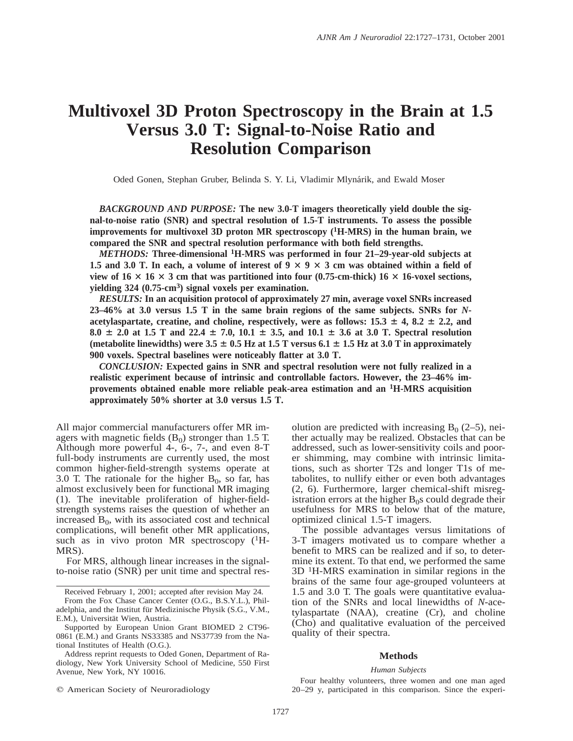# **Multivoxel 3D Proton Spectroscopy in the Brain at 1.5 Versus 3.0 T: Signal-to-Noise Ratio and Resolution Comparison**

Oded Gonen, Stephan Gruber, Belinda S. Y. Li, Vladimir Mlynárik, and Ewald Moser

*BACKGROUND AND PURPOSE:* **The new 3.0-T imagers theoretically yield double the signal-to-noise ratio (SNR) and spectral resolution of 1.5-T instruments. To assess the possible improvements for multivoxel 3D proton MR spectroscopy (1H-MRS) in the human brain, we compared the SNR and spectral resolution performance with both field strengths.**

*METHODS:* **Three-dimensional 1H-MRS was performed in four 21–29-year-old subjects at 1.5 and 3.0 T. In each, a volume of interest of**  $9 \times 9 \times 3$  **cm was obtained within a field of view of 16**  $\times$  16  $\times$  3 cm that was partitioned into four (0.75-cm-thick) 16  $\times$  16-voxel sections, **yielding 324 (0.75-cm3) signal voxels per examination.**

*RESULTS:* **In an acquisition protocol of approximately 27 min, average voxel SNRs increased 23–46% at 3.0 versus 1.5 T in the same brain regions of the same subjects. SNRs for** *N*acetylaspartate, creatine, and choline, respectively, were as follows:  $15.3 \pm 4$ ,  $8.2 \pm 2.2$ , and  $8.0 \pm 2.0$  at 1.5 T and 22.4  $\pm$  7.0, 10.1  $\pm$  3.5, and 10.1  $\pm$  3.6 at 3.0 T. Spectral resolution (metabolite linewidths) were  $3.5 \pm 0.5$  Hz at  $1.5$  T versus  $6.1 \pm 1.5$  Hz at  $3.0$  T in approximately **900 voxels. Spectral baselines were noticeably flatter at 3.0 T.**

*CONCLUSION:* **Expected gains in SNR and spectral resolution were not fully realized in a realistic experiment because of intrinsic and controllable factors. However, the 23–46% improvements obtained enable more reliable peak-area estimation and an 1H-MRS acquisition approximately 50% shorter at 3.0 versus 1.5 T.**

All major commercial manufacturers offer MR imagers with magnetic fields  $(B<sub>0</sub>)$  stronger than 1.5 T. Although more powerful 4-, 6-, 7-, and even 8-T full-body instruments are currently used, the most common higher-field-strength systems operate at 3.0 T. The rationale for the higher  $B_0$ , so far, has almost exclusively been for functional MR imaging (1). The inevitable proliferation of higher-fieldstrength systems raises the question of whether an increased  $B_0$ , with its associated cost and technical complications, will benefit other MR applications, such as in vivo proton MR spectroscopy  $(^1H$ -MRS).

For MRS, although linear increases in the signalto-noise ratio (SNR) per unit time and spectral res-

From the Fox Chase Cancer Center (O.G., B.S.Y.L.), Philadelphia, and the Institut für Medizinische Physik (S.G., V.M., E.M.), Universität Wien, Austria.

 $©$  American Society of Neuroradiology

olution are predicted with increasing  $B_0$  (2–5), neither actually may be realized. Obstacles that can be addressed, such as lower-sensitivity coils and poorer shimming, may combine with intrinsic limitations, such as shorter T2s and longer T1s of metabolites, to nullify either or even both advantages (2, 6). Furthermore, larger chemical-shift misregistration errors at the higher  $B_0$ s could degrade their usefulness for MRS to below that of the mature, optimized clinical 1.5-T imagers.

The possible advantages versus limitations of 3-T imagers motivated us to compare whether a benefit to MRS can be realized and if so, to determine its extent. To that end, we performed the same 3D 1H-MRS examination in similar regions in the brains of the same four age-grouped volunteers at 1.5 and 3.0 T. The goals were quantitative evaluation of the SNRs and local linewidths of *N*-acetylaspartate (NAA), creatine (Cr), and choline (Cho) and qualitative evaluation of the perceived quality of their spectra.

# **Methods**

### *Human Subjects*

Four healthy volunteers, three women and one man aged 20–29 y, participated in this comparison. Since the experi-

Received February 1, 2001; accepted after revision May 24.

Supported by European Union Grant BIOMED 2 CT96- 0861 (E.M.) and Grants NS33385 and NS37739 from the National Institutes of Health (O.G.).

Address reprint requests to Oded Gonen, Department of Radiology, New York University School of Medicine, 550 First Avenue, New York, NY 10016.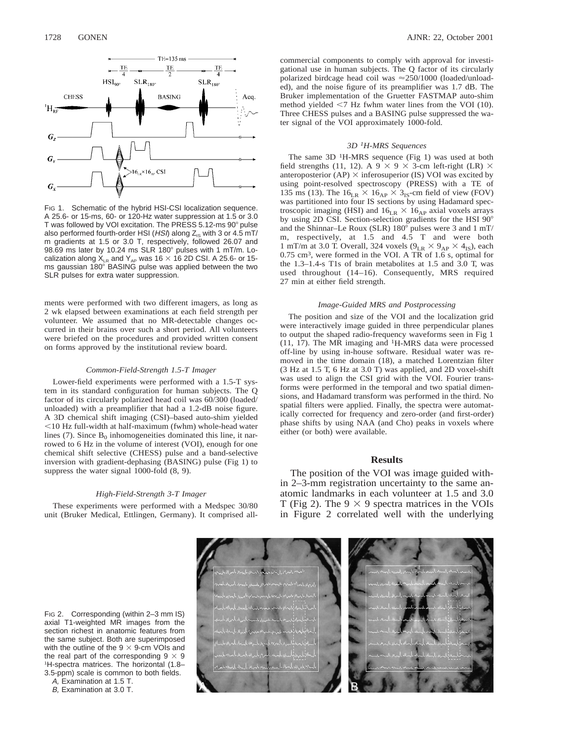

FIG 1. Schematic of the hybrid HSI-CSI localization sequence. A 25.6- or 15-ms, 60- or 120-Hz water suppression at 1.5 or 3.0 T was followed by VOI excitation. The PRESS  $5.12$ -ms  $90^\circ$  pulse also performed fourth-order HSI (HSI) along  $Z_{\text{IS}}$  with 3 or 4.5 mT/ m gradients at 1.5 or 3.0 T, respectively, followed 26.07 and 98.69 ms later by 10.24 ms SLR 180 $^{\circ}$  pulses with 1 mT/m. Localization along  $X_{LR}$  and  $Y_{AP}$  was 16  $\times$  16 2D CSI. A 25.6- or 15ms gaussian 180° BASING pulse was applied between the two SLR pulses for extra water suppression.

ments were performed with two different imagers, as long as 2 wk elapsed between examinations at each field strength per volunteer. We assumed that no MR-detectable changes occurred in their brains over such a short period. All volunteers were briefed on the procedures and provided written consent on forms approved by the institutional review board.

## *Common-Field-Strength 1.5-T Imager*

Lower-field experiments were performed with a 1.5-T system in its standard configuration for human subjects. The Q factor of its circularly polarized head coil was 60/300 (loaded/ unloaded) with a preamplifier that had a 1.2-dB noise figure. A 3D chemical shift imaging (CSI)–based auto-shim yielded ,10 Hz full-width at half-maximum (fwhm) whole-head water lines (7). Since  $B_0$  inhomogeneities dominated this line, it narrowed to 6 Hz in the volume of interest (VOI), enough for one chemical shift selective (CHESS) pulse and a band-selective inversion with gradient-dephasing (BASING) pulse (Fig 1) to suppress the water signal 1000-fold (8, 9).

## *High-Field-Strength 3-T Imager*

These experiments were performed with a Medspec 30/80 unit (Bruker Medical, Ettlingen, Germany). It comprised allcommercial components to comply with approval for investigational use in human subjects. The Q factor of its circularly polarized birdcage head coil was  $\approx$  250/1000 (loaded/unloaded), and the noise figure of its preamplifier was 1.7 dB. The Bruker implementation of the Gruetter FASTMAP auto-shim method yielded  $\leq$ 7 Hz fwhm water lines from the VOI (10). Three CHESS pulses and a BASING pulse suppressed the water signal of the VOI approximately 1000-fold.

## *3D 1H-MRS Sequences*

The same  $3D<sup>1</sup>H-MRS$  sequence (Fig 1) was used at both field strengths (11, 12). A 9  $\times$  9  $\times$  3-cm left-right (LR)  $\times$ anteroposterior (AP)  $\times$  inferosuperior (IS) VOI was excited by using point-resolved spectroscopy (PRESS) with a TE of 135 ms (13). The  $16_{LR} \times 16_{AP} \times 3_{IS}$ -cm field of view (FOV) was partitioned into four IS sections by using Hadamard spectroscopic imaging (HSI) and  $16_{LR} \times 16_{AP}$  axial voxels arrays by using 2D CSI. Section-selection gradients for the HSI  $90^\circ$ and the Shinnar–Le Roux (SLR) 180° pulses were 3 and 1 mT/ m, respectively, at 1.5 and 4.5 T and were both 1 mT/m at 3.0 T. Overall, 324 voxels  $(9_{LR} \times 9_{AP} \times 4_{IS})$ , each 0.75 cm3, were formed in the VOI. A TR of 1.6 s, optimal for the 1.3–1.4-s T1s of brain metabolites at 1.5 and 3.0 T, was used throughout (14–16). Consequently, MRS required 27 min at either field strength.

#### *Image-Guided MRS and Postprocessing*

The position and size of the VOI and the localization grid were interactively image guided in three perpendicular planes to output the shaped radio-frequency waveforms seen in Fig 1  $(11, 17)$ . The MR imaging and <sup>1</sup>H-MRS data were processed off-line by using in-house software. Residual water was removed in the time domain (18), a matched Lorentzian filter (3 Hz at 1.5 T, 6 Hz at 3.0 T) was applied, and 2D voxel-shift was used to align the CSI grid with the VOI. Fourier transforms were performed in the temporal and two spatial dimensions, and Hadamard transform was performed in the third. No spatial filters were applied. Finally, the spectra were automatically corrected for frequency and zero-order (and first-order) phase shifts by using NAA (and Cho) peaks in voxels where either (or both) were available.

# **Results**

The position of the VOI was image guided within 2–3-mm registration uncertainty to the same anatomic landmarks in each volunteer at 1.5 and 3.0 T (Fig 2). The  $9 \times 9$  spectra matrices in the VOIs in Figure 2 correlated well with the underlying

FIG 2. Corresponding (within 2–3 mm IS) axial T1-weighted MR images from the section richest in anatomic features from the same subject. Both are superimposed with the outline of the  $9 \times 9$ -cm VOIs and the real part of the corresponding  $9 \times 9$ 1H-spectra matrices. The horizontal (1.8– 3.5-ppm) scale is common to both fields.

A, Examination at 1.5 T.

B, Examination at 3.0 T.



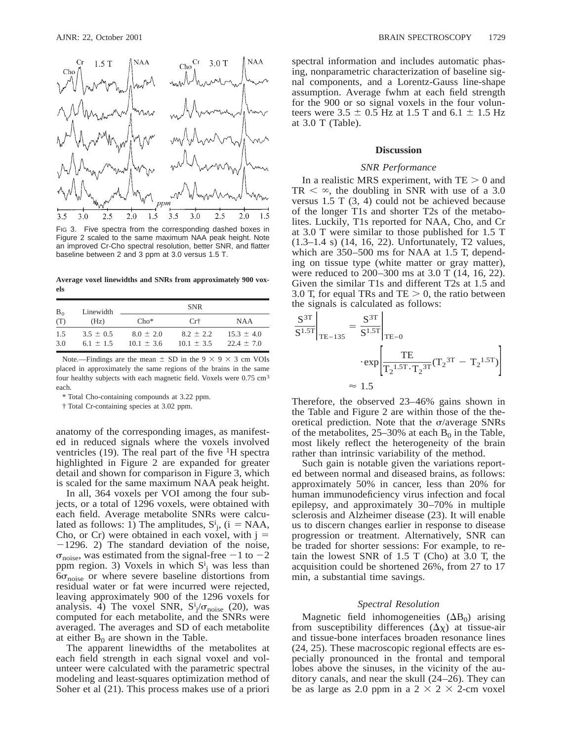

FIG 3. Five spectra from the corresponding dashed boxes in Figure 2 scaled to the same maximum NAA peak height. Note an improved Cr-Cho spectral resolution, better SNR, and flatter baseline between 2 and 3 ppm at 3.0 versus 1.5 T.

**Average voxel linewidths and SNRs from approximately 900 voxels**

| $B_0$ | Linewidth     | <b>SNR</b>     |                |                |
|-------|---------------|----------------|----------------|----------------|
| (T)   | (Hz)          | $Cho*$         | Cr†            | <b>NAA</b>     |
| 1.5   | $3.5 \pm 0.5$ | $8.0 \pm 2.0$  | $8.2 \pm 2.2$  | $15.3 \pm 4.0$ |
| 3.0   | $6.1 \pm 1.5$ | $10.1 \pm 3.6$ | $10.1 \pm 3.5$ | $22.4 \pm 7.0$ |

Note.—Findings are the mean  $\pm$  SD in the 9  $\times$  9  $\times$  3 cm VOIs placed in approximately the same regions of the brains in the same four healthy subjects with each magnetic field. Voxels were 0.75 cm<sup>3</sup> each.

\* Total Cho-containing compounds at 3.22 ppm.

† Total Cr-containing species at 3.02 ppm.

anatomy of the corresponding images, as manifested in reduced signals where the voxels involved ventricles (19). The real part of the five  ${}^{1}H$  spectra highlighted in Figure 2 are expanded for greater detail and shown for comparison in Figure 3, which is scaled for the same maximum NAA peak height.

In all, 364 voxels per VOI among the four subjects, or a total of 1296 voxels, were obtained with each field. Average metabolite SNRs were calculated as follows: 1) The amplitudes,  $S^i_j$ , (i = NAA, Cho, or Cr) were obtained in each voxel, with  $j =$  $-1296$ . 2) The standard deviation of the noise,  $\sigma_{\text{noise}}$ , was estimated from the signal-free -1 to -2 ppm region. 3) Voxels in which  $S^i_j$  was less than  $6\sigma_{\text{noise}}$  or where severe baseline distortions from residual water or fat were incurred were rejected, leaving approximately 900 of the 1296 voxels for analysis. 4) The voxel SNR,  $S^i_j/\sigma_{noise}$  (20), was computed for each metabolite, and the SNRs were averaged. The averages and SD of each metabolite at either  $B_0$  are shown in the Table.

The apparent linewidths of the metabolites at each field strength in each signal voxel and volunteer were calculated with the parametric spectral modeling and least-squares optimization method of Soher et al (21). This process makes use of a priori

spectral information and includes automatic phasing, nonparametric characterization of baseline signal components, and a Lorentz-Gauss line-shape assumption. Average fwhm at each field strength for the 900 or so signal voxels in the four volunteers were  $3.5 \pm 0.5$  Hz at 1.5 T and  $6.1 \pm 1.5$  Hz at 3.0 T (Table).

# **Discussion**

#### *SNR Performance*

In a realistic MRS experiment, with  $TE > 0$  and  $TR < \infty$ , the doubling in SNR with use of a 3.0 versus  $1.5$  T  $(3, 4)$  could not be achieved because of the longer T1s and shorter T2s of the metabolites. Luckily, T1s reported for NAA, Cho, and Cr at 3.0 T were similar to those published for 1.5 T (1.3–1.4 s) (14, 16, 22). Unfortunately, T2 values, which are 350–500 ms for NAA at 1.5 T, depending on tissue type (white matter or gray matter), were reduced to 200–300 ms at 3.0 T (14, 16, 22). Given the similar T1s and different T2s at 1.5 and 3.0 T, for equal TRs and TE  $> 0$ , the ratio between the signals is calculated as follows:

$$
\frac{S^{3T}}{S^{1.5T}}\Big|_{\text{TE}=135} = \frac{S^{3T}}{S^{1.5T}}\Big|_{\text{TE}=0}
$$

$$
\cdot \exp\left[\frac{\text{TE}}{T_2^{1.5T} \cdot T_2^{3T}} (T_2^{3T} - T_2^{1.5T})\right]
$$

$$
\approx 1.5
$$

Therefore, the observed 23–46% gains shown in the Table and Figure 2 are within those of the theoretical prediction. Note that the  $\sigma$ /average SNRs of the metabolites,  $25-30\%$  at each  $B_0$  in the Table, most likely reflect the heterogeneity of the brain rather than intrinsic variability of the method.

Such gain is notable given the variations reported between normal and diseased brains, as follows: approximately 50% in cancer, less than 20% for human immunodeficiency virus infection and focal epilepsy, and approximately 30–70% in multiple sclerosis and Alzheimer disease (23). It will enable us to discern changes earlier in response to disease progression or treatment. Alternatively, SNR can be traded for shorter sessions: For example, to retain the lowest SNR of 1.5 T (Cho) at 3.0 T, the acquisition could be shortened 26%, from 27 to 17 min, a substantial time savings.

## *Spectral Resolution*

Magnetic field inhomogeneities  $( \Delta B_0 )$  arising from susceptibility differences  $(\Delta \chi)$  at tissue-air and tissue-bone interfaces broaden resonance lines (24, 25). These macroscopic regional effects are especially pronounced in the frontal and temporal lobes above the sinuses, in the vicinity of the auditory canals, and near the skull (24–26). They can be as large as 2.0 ppm in a  $2 \times 2 \times 2$ -cm voxel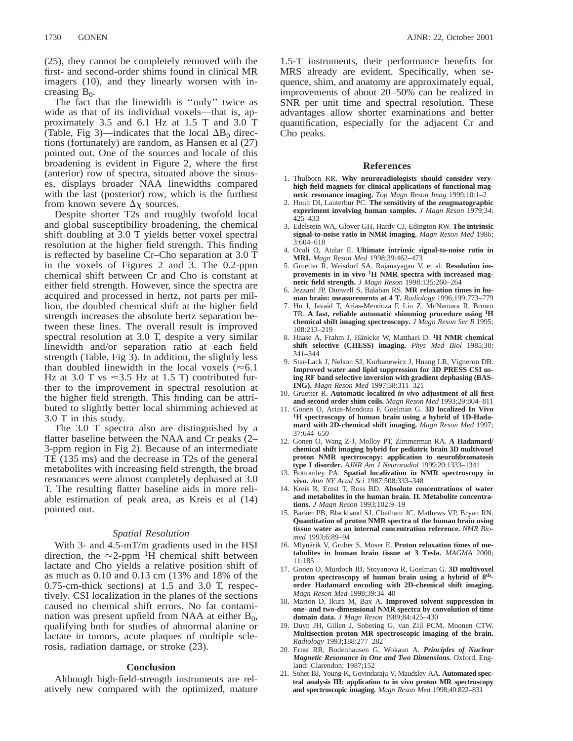(25), they cannot be completely removed with the first- and second-order shims found in clinical MR imagers (10), and they linearly worsen with increasing  $B_0$ .

The fact that the linewidth is ''only'' twice as wide as that of its individual voxels—that is, approximately 3.5 and 6.1 Hz at 1.5 T and 3.0 T (Table, Fig 3)—indicates that the local  $\Delta B_0$  directions (fortunately) are random, as Hansen et al (27) pointed out. One of the sources and locale of this broadening is evident in Figure 2, where the first (anterior) row of spectra, situated above the sinuses, displays broader NAA linewidths compared with the last (posterior) row, which is the furthest from known severe  $\Delta \chi$  sources.

Despite shorter T2s and roughly twofold local and global susceptibility broadening, the chemical shift doubling at 3.0 T yields better voxel spectral resolution at the higher field strength. This finding is reflected by baseline Cr–Cho separation at 3.0 T in the voxels of Figures 2 and 3. The 0.2-ppm chemical shift between Cr and Cho is constant at either field strength. However, since the spectra are acquired and processed in hertz, not parts per million, the doubled chemical shift at the higher field strength increases the absolute hertz separation between these lines. The overall result is improved spectral resolution at 3.0 T, despite a very similar linewidth and/or separation ratio at each field strength (Table, Fig 3). In addition, the slightly less than doubled linewidth in the local voxels ( $\approx 6.1$ ) Hz at 3.0 T vs  $\approx$ 3.5 Hz at 1.5 T) contributed further to the improvement in spectral resolution at the higher field strength. This finding can be attributed to slightly better local shimming achieved at 3.0 T in this study.

The 3.0 T spectra also are distinguished by a flatter baseline between the NAA and Cr peaks (2– 3-ppm region in Fig 2). Because of an intermediate TE (135 ms) and the decrease in T2s of the general metabolites with increasing field strength, the broad resonances were almost completely dephased at 3.0 T. The resulting flatter baseline aids in more reliable estimation of peak area, as Kreis et al (14) pointed out.

# *Spatial Resolution*

With 3- and 4.5-mT/m gradients used in the HSI direction, the  $\approx$ 2-ppm <sup>1</sup>H chemical shift between lactate and Cho yields a relative position shift of as much as 0.10 and 0.13 cm (13% and 18% of the 0.75-cm-thick sections) at 1.5 and 3.0 T, respectively. CSI localization in the planes of the sections caused no chemical shift errors. No fat contamination was present upfield from NAA at either  $B_0$ , qualifying both for studies of abnormal alanine or lactate in tumors, acute plaques of multiple sclerosis, radiation damage, or stroke (23).

# **Conclusion**

Although high-field-strength instruments are relatively new compared with the optimized, mature 1.5-T instruments, their performance benefits for MRS already are evident. Specifically, when sequence, shim, and anatomy are approximately equal, improvements of about 20–50% can be realized in SNR per unit time and spectral resolution. These advantages allow shorter examinations and better quantification, especially for the adjacent Cr and Cho peaks.

# **References**

- 1. Thulborn KR. **Why neuroradiologists should consider veryhigh field magnets for clinical applications of functional magnetic resonance imaging.** *Top Magn Reson Imag* 1999;10:1–2
- 2. Hoult DI, Lauterbur PC. **The sensitivity of the zeugmatographic experiment involving human samples.** *J Magn Reson* 1979;34: 425–433
- 3. Edelstein WA, Glover GH, Hardy CJ, Edington RW. **The intrinsic signal-to-noise ratio in NMR imaging.** *Magn Reson Med* 1986; 3:604–618
- 4. Ocali O, Atalar E. **Ultimate intrinsic signal-to-noise ratio in MRI.** *Magn Reson Med* 1998;39:462–473
- 5. Gruetter R, Weisdorf SA, Rajanayagan V, et al. **Resolution improvements in in vivo 1H NMR spectra with increased magnetic field strength.** *J Magn Reson* 1998;135:260–264
- 6. Jezzard JP, Duewell S, Balaban RS. **MR relaxation times in human brain: measurements at 4 T.** *Radiology* 1996;199:773–779
- 7. Hu J, Javaid T, Arias-Mendoza F, Liu Z, McNamara R, Brown TR. **A fast, reliable automatic shimming procedure using 1H chemical shift imaging spectroscopy.** *J Magn Reson Ser B* 1995; 108:213–219
- 8. Haase A, Frahm J, Hänicke W, Matthaei D. <sup>1</sup>H NMR chemical **shift selective (CHESS) imaging.** *Phys Med Biol* 1985;30: 341–344
- 9. Star-Lack J, Nelson SJ, Kurhanewicz J, Huang LR, Vigneron DB. **Improved water and lipid suppression for 3D PRESS CSI using RF band selective inversion with gradient dephasing (BAS-ING).** *Magn Reson Med* 1997;38:311–321
- 10. Gruetter R. **Automatic localized** *in vivo* **adjustment of all first and second order shim coils.** *Magn Reson Med* 1993;29:804–811
- 11. Gonen O, Arias-Mendoza F, Goelman G. **3D localized In Vivo 1H spectroscopy of human brain using a hybrid of 1D-Hadamard with 2D-chemical shift imaging.** *Magn Reson Med* 1997; 37:644–650
- 12. Gonen O, Wang Z-J, Molloy PT, Zimmerman RA. **A Hadamard/ chemical shift imaging hybrid for pediatric brain 3D multivoxel proton NMR spectroscopy: application to neurofibromatosis type I disorder.** *AJNR Am J Neuroradiol* 1999;20:1333–1341
- 13. Bottomley PA. **Spatial localization in NMR spectroscopy in vivo.** *Ann NY Acad Sci* 1987;508:333–348
- 14. Kreis R, Ernst T, Ross BD. **Absolute concentrations of water and metabolites in the human brain. II. Metabolite concentrations.** *J Magn Reson* 1993;102:9–19
- 15. Barker PB, Blackband SJ, Chatham JC, Mathews VP, Bryan RN. **Quantitation of proton NMR spectra of the human brain using tissue water as an internal concentration reference.** *NMR Biomed* 1993;6:89–94
- 16. Mlynárik V, Gruber S, Moser E. Proton relaxation times of me**tabolites in human brain tissue at 3 Tesla.** *MAGMA* 2000; 11:185
- 17. Gonen O, Murdoch JB, Stoyanova R, Goelman G. **3D multivoxel proton spectroscopy of human brain using a hybrid of 8thorder Hadamard encoding with 2D-chemical shift imaging.** *Magn Reson Med* 1998;39:34–40
- 18. Marion D, Ikura M, Bax A. **Improved solvent suppression in one- and two-dimensional NMR spectra by convolution of time domain data.** *J Magn Reson* 1989;84:425–430
- 19. Duyn JH, Gillen J, Sobering G, van Zijl PCM, Moonen CTW. **Multisection proton MR spectroscopic imaging of the brain.** *Radiology* 1993;188:277–282
- 20. Ernst RR, Bodenhausen G, Wokaun A. *Principles of Nuclear Magnetic Resonance in One and Two Dimensions.* Oxford, England: Clarendon; 1987;152
- 21. Soher BJ, Young K, Govindaraju V, Maudsley AA. **Automated spectral analysis III: application to in vivo proton MR spectroscopy and spectroscopic imaging.** *Magn Reson Med* 1998;40:822–831